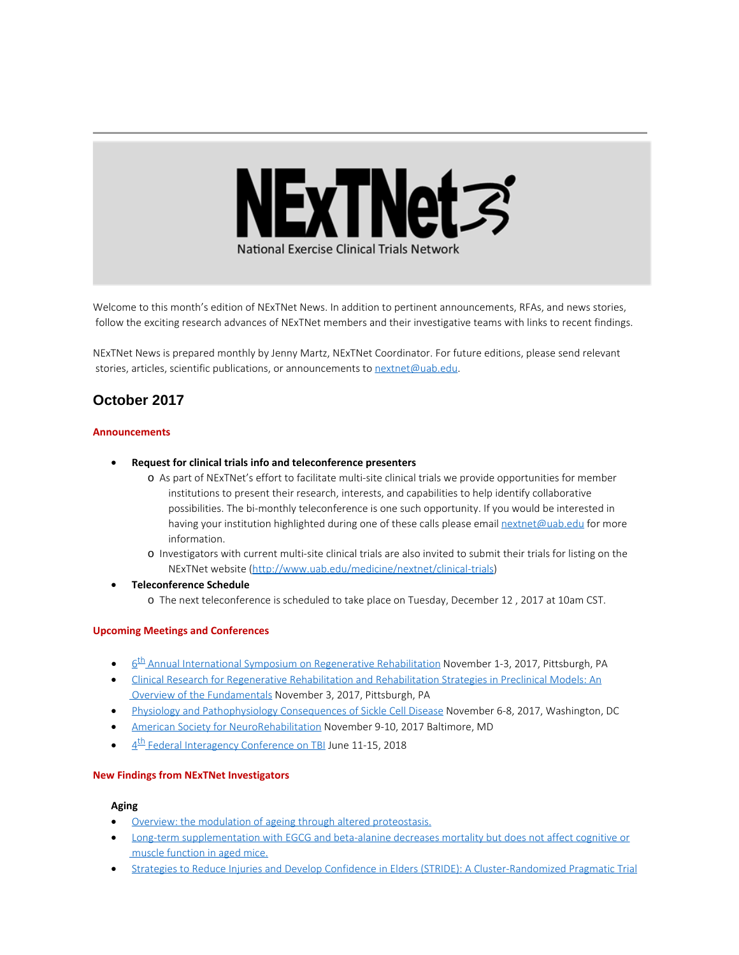

Welcome to this month's edition of NExTNet News. In addition to pertinent announcements, RFAs, and news stories, follow the exciting research advances of NExTNet members and their investigative teams with links to recent findings.

NExTNet News is prepared monthly by Jenny Martz, NExTNet Coordinator. For future editions, please send relevant stories, articles, scientific publications, or announcements to [nextnet@uab.edu](mailto:nextnet@uab.edu).

# **October 2017**

## **Announcements**

- · **Request for clinical trials info and teleconference presenters**
	- o As part of NExTNet's effort to facilitate multi-site clinical trials we provide opportunities for member institutions to present their research, interests, and capabilities to help identify collaborative possibilities. The bi-monthly teleconference is one such opportunity. If you would be interested in having your institution highlighted during one of these calls please email [nextnet@uab.edu](mailto:nextnet@uab.edu) for more information.
	- o Investigators with current multi-site clinical trials are also invited to submit their trials for listing on the NExTNet website [\(http://www.uab.edu/medicine/nextnet/clinical-trials](http://www.uab.edu/medicine/nextnet/clinical-trials))
- · **Teleconference Schedule**
	- o The next teleconference is scheduled to take place on Tuesday, December 12 , 2017 at 10am CST.

### **Upcoming Meetings and Conferences**

- 6<sup>th</sup> Annual International Symposium on Regenerative Rehabilitation November 1-3, 2017, Pittsburgh, PA
- · [Clinical Research for Regenerative Rehabilitation and Rehabilitation Strategies in Preclinical Models: An](http://www.ar3t.pitt.edu/symposium2017/workshops.html) [Overview of the Fundamentals](http://www.ar3t.pitt.edu/symposium2017/workshops.html) November 3, 2017, Pittsburgh, PA
- · [Physiology and Pathophysiology Consequences of Sickle Cell Disease](http://www.the-aps.org/mm/Conferences/APS-Conferences/2017-Conferences/Sickle-Cell) November 6-8, 2017, Washington, DC
- [American Society for NeuroRehabilitation](https://www.asnr.com/i4a/pages/index.cfm?pageID=3769) November 9-10, 2017 Baltimore, MD
- 4<sup>th</sup> Federal Interagency Conference on TBI June 11-15, 2018

### **New Findings from NExTNet Investigators**

### **Aging**

- [Overview: the modulation of ageing through altered proteostasis.](https://www.ncbi.nlm.nih.gov/pubmed/29027211)
- · [Long-term supplementation with EGCG and beta-alanine decreases mortality but does not affect cognitive or](https://www.ncbi.nlm.nih.gov/pubmed/28818411) [muscle function in aged mice.](https://www.ncbi.nlm.nih.gov/pubmed/28818411)
- [Strategies to Reduce Injuries and Develop Confidence in Elders \(STRIDE\): A Cluster-Randomized Pragmatic Trial](https://www.ncbi.nlm.nih.gov/pubmed/29045582)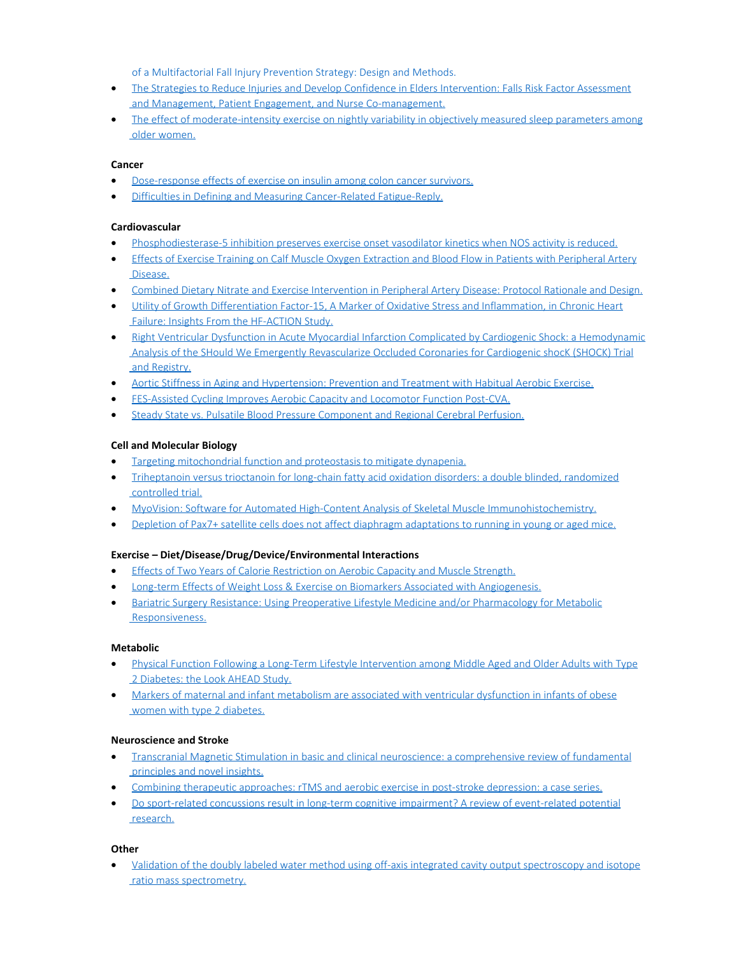[of a Multifactorial Fall Injury Prevention Strategy: Design and Methods.](https://www.ncbi.nlm.nih.gov/pubmed/29045582)

- · [The Strategies to Reduce Injuries and Develop Confidence in Elders Intervention: Falls Risk Factor Assessment](https://www.ncbi.nlm.nih.gov/pubmed/29044479)  [and Management, Patient Engagement, and Nurse Co-management.](https://www.ncbi.nlm.nih.gov/pubmed/29044479)
- [The effect of moderate-intensity exercise on nightly variability in objectively measured sleep parameters among](http://www.ncbi.nlm.nih.gov/pubmed/29053410)  [older women.](http://www.ncbi.nlm.nih.gov/pubmed/29053410)

## **Cancer**

- [Dose-response effects of exercise on insulin among colon cancer survivors.](https://www.ncbi.nlm.nih.gov/pubmed/29018055)
- · [Difficulties in Defining and Measuring Cancer-Related Fatigue-Reply.](https://www.ncbi.nlm.nih.gov/pubmed/28983561)

## **Cardiovascular**

- · [Phosphodiesterase-5 inhibition preserves exercise onset vasodilator kinetics when NOS activity is reduced.](http://www.ncbi.nlm.nih.gov/pubmed/28982942)
- · [Effects of Exercise Training on Calf Muscle Oxygen Extraction and Blood Flow in Patients with Peripheral Artery](http://www.ncbi.nlm.nih.gov/pubmed/28982943)  [Disease.](http://www.ncbi.nlm.nih.gov/pubmed/28982943)
- · [Combined Dietary Nitrate and Exercise Intervention in Peripheral Artery Disease: Protocol Rationale and Design.](https://www.ncbi.nlm.nih.gov/pubmed/28974486)
- · Utility of Growth Differentiation Factor-15, A [Marker of Oxidative Stress and Inflammation, in Chronic Heart](https://www.ncbi.nlm.nih.gov/pubmed/28958347)  [Failure: Insights From the HF-ACTION Study.](https://www.ncbi.nlm.nih.gov/pubmed/28958347)
- · [Right Ventricular Dysfunction in Acute Myocardial Infarction Complicated by Cardiogenic Shock: a Hemodynamic](https://www.ncbi.nlm.nih.gov/pubmed/29032225)  [Analysis of the SHould We Emergently Revascularize Occluded Coronaries for Cardiogenic shocK \(SHOCK\) Trial](https://www.ncbi.nlm.nih.gov/pubmed/29032225)  [and Registry.](https://www.ncbi.nlm.nih.gov/pubmed/29032225)
- · [Aortic Stiffness in Aging and Hypertension: Prevention and Treatment with Habitual Aerobic Exercise.](https://www.ncbi.nlm.nih.gov/pubmed/29046980)
- **[FES-Assisted Cycling Improves Aerobic Capacity and Locomotor Function Post-CVA.](https://www.ncbi.nlm.nih.gov/pubmed/29040224)**
- · [Steady State vs. Pulsatile Blood Pressure Component and Regional Cerebral Perfusion.](https://www.ncbi.nlm.nih.gov/pubmed/29059301)

## **Cell and Molecular Biology**

- · [Targeting mitochondrial function and proteostasis to mitigate dynapenia.](https://www.ncbi.nlm.nih.gov/pubmed/28986697)
- · [Triheptanoin versus trioctanoin for long-chain fatty acid oxidation disorders: a double blinded, randomized](https://www.ncbi.nlm.nih.gov/pubmed/28871440)  [controlled trial.](https://www.ncbi.nlm.nih.gov/pubmed/28871440)
- · [MyoVision: Software for Automated High-Content Analysis of Skeletal Muscle Immunohistochemistry.](https://www.ncbi.nlm.nih.gov/pubmed/28982947)
- [Depletion of Pax7+ satellite cells does not affect diaphragm adaptations to running in young or aged mice.](https://www.ncbi.nlm.nih.gov/pubmed/28736900)

## **Exercise – Diet/Disease/Drug/Device/Environmental Interactions**

- · [Effects of Two Years of Calorie Restriction on Aerobic Capacity and Muscle Strength.](https://www.ncbi.nlm.nih.gov/pubmed/29045325)
- · [Long-term Effects of Weight Loss & Exercise on Biomarkers Associated with Angiogenesis.](https://www.ncbi.nlm.nih.gov/pubmed/29042415)
- · [Bariatric Surgery Resistance: Using Preoperative Lifestyle Medicine and/or Pharmacology for Metabolic](https://www.ncbi.nlm.nih.gov/pubmed/29058238)  [Responsiveness.](https://www.ncbi.nlm.nih.gov/pubmed/29058238)

### **Metabolic**

- · [Physical Function Following a Long-Term Lifestyle Intervention among Middle Aged and Older Adults with Type](https://www.ncbi.nlm.nih.gov/pubmed/29053861)  [2 Diabetes: the Look AHEAD Study.](https://www.ncbi.nlm.nih.gov/pubmed/29053861)
- · [Markers of maternal and infant metabolism are associated with ventricular dysfunction in infants of obese](https://www.ncbi.nlm.nih.gov/pubmed/28604759)  [women with type 2 diabetes.](https://www.ncbi.nlm.nih.gov/pubmed/28604759)

### **Neuroscience and Stroke**

- · [Transcranial Magnetic Stimulation in basic and clinical neuroscience: a comprehensive review of fundamental](https://www.ncbi.nlm.nih.gov/pubmed/29032089)  [principles and novel insights.](https://www.ncbi.nlm.nih.gov/pubmed/29032089)
- · [Combining therapeutic approaches: rTMS and aerobic exercise in post-stroke depression: a case series.](https://www.ncbi.nlm.nih.gov/pubmed/28982298)
- · [Do sport-related concussions result in long-term cognitive impairment? A review of event-related potential](https://www.ncbi.nlm.nih.gov/pubmed/29054540)  [research.](https://www.ncbi.nlm.nih.gov/pubmed/29054540)

### **Other**

[Validation of the doubly labeled water method using off-axis integrated cavity output spectroscopy and isotope](https://www.ncbi.nlm.nih.gov/pubmed/28978547)  [ratio mass spectrometry.](https://www.ncbi.nlm.nih.gov/pubmed/28978547)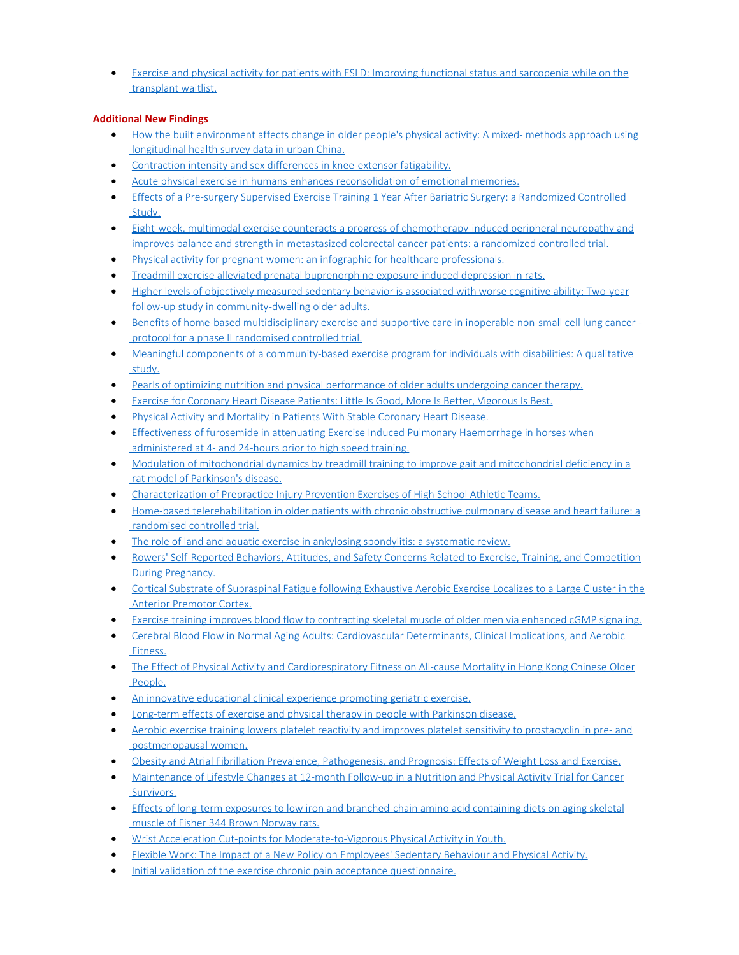[Exercise and physical activity for patients with ESLD: Improving functional status and sarcopenia while on the](http://www.ncbi.nlm.nih.gov/pubmed/29024353)  [transplant waitlist.](http://www.ncbi.nlm.nih.gov/pubmed/29024353)

# **Additional New Findings**

- · [How the built environment affects change in older people's physical activity: A mixed- methods approach using](http://www.ncbi.nlm.nih.gov/pubmed/28963987)  [longitudinal health survey data in urban China.](http://www.ncbi.nlm.nih.gov/pubmed/28963987)
- [Contraction intensity and sex differences in knee-extensor fatigability.](http://www.ncbi.nlm.nih.gov/pubmed/28963937)
- · [Acute physical exercise in humans enhances reconsolidation of emotional memories.](http://www.ncbi.nlm.nih.gov/pubmed/28963883)
- · [Effects of a Pre-surgery Supervised Exercise Training 1](http://www.ncbi.nlm.nih.gov/pubmed/28963710) Year After Bariatric Surgery: a Randomized Controlled  [Study.](http://www.ncbi.nlm.nih.gov/pubmed/28963710)
- · [Eight-week, multimodal exercise counteracts a progress of chemotherapy-induced peripheral neuropathy and](http://www.ncbi.nlm.nih.gov/pubmed/28963591)  [improves balance and strength in metastasized colorectal cancer patients: a randomized controlled trial.](http://www.ncbi.nlm.nih.gov/pubmed/28963591)
- · [Physical activity for pregnant women: an infographic for healthcare professionals.](http://www.ncbi.nlm.nih.gov/pubmed/28963415)
- · [Treadmill exercise alleviated prenatal buprenorphine exposure-induced depression in rats.](http://www.ncbi.nlm.nih.gov/pubmed/28962922)
- · [Higher levels of objectively measured sedentary behavior is associated with worse cognitive ability: Two-year](http://www.ncbi.nlm.nih.gov/pubmed/28962854)  [follow-up study in community-dwelling older adults.](http://www.ncbi.nlm.nih.gov/pubmed/28962854)
- · [Benefits of home-based multidisciplinary exercise and supportive care in inoperable non-small cell lung cancer](http://www.ncbi.nlm.nih.gov/pubmed/28962608)   [protocol for a phase II randomised controlled trial.](http://www.ncbi.nlm.nih.gov/pubmed/28962608)
- · [Meaningful components of a community-based exercise program for individuals with disabilities: A qualitative](http://www.ncbi.nlm.nih.gov/pubmed/28958792)  [study.](http://www.ncbi.nlm.nih.gov/pubmed/28958792)
- · [Pearls of optimizing nutrition and physical performance of older adults undergoing cancer therapy.](http://www.ncbi.nlm.nih.gov/pubmed/28958666)
- · Exercise for Coronary Heart Disease [Patients: Little Is Good, More Is Better, Vigorous Is Best.](http://www.ncbi.nlm.nih.gov/pubmed/28958325)
- · [Physical Activity and Mortality in Patients With Stable Coronary Heart Disease.](http://www.ncbi.nlm.nih.gov/pubmed/28958324)
- · [Effectiveness of furosemide in attenuating Exercise Induced Pulmonary Haemorrhage in horses when](http://www.ncbi.nlm.nih.gov/pubmed/28963734)  [administered at 4- and 24-hours prior to high speed training.](http://www.ncbi.nlm.nih.gov/pubmed/28963734)
- · [Modulation of mitochondrial dynamics by treadmill training to improve gait and mitochondrial deficiency in a](http://www.ncbi.nlm.nih.gov/pubmed/28986095)  [rat model of Parkinson's disease.](http://www.ncbi.nlm.nih.gov/pubmed/28986095)
- · [Characterization of Prepractice Injury Prevention Exercises of High School Athletic Teams.](http://www.ncbi.nlm.nih.gov/pubmed/28985697)
- · [Home-based telerehabilitation in older patients with chronic obstructive pulmonary disease and heart failure: a](http://www.ncbi.nlm.nih.gov/pubmed/28985325)  [randomised controlled trial.](http://www.ncbi.nlm.nih.gov/pubmed/28985325)
- · [The role of land and aquatic exercise in ankylosing spondylitis: a systematic review.](http://www.ncbi.nlm.nih.gov/pubmed/28983663)
- · [Rowers' Self-Reported Behaviors, Attitudes, and Safety Concerns Related to Exercise, Training, and Competition](http://www.ncbi.nlm.nih.gov/pubmed/28983443)  [During Pregnancy.](http://www.ncbi.nlm.nih.gov/pubmed/28983443)
- · [Cortical Substrate of Supraspinal Fatigue following Exhaustive Aerobic Exercise Localizes to a Large Cluster in the](http://www.ncbi.nlm.nih.gov/pubmed/28983275)  [Anterior Premotor Cortex.](http://www.ncbi.nlm.nih.gov/pubmed/28983275)
- · [Exercise training improves blood flow to contracting skeletal muscle of older men via enhanced cGMP signaling.](http://www.ncbi.nlm.nih.gov/pubmed/28982945)
- · [Cerebral Blood Flow in Normal Aging Adults: Cardiovascular Determinants, Clinical Implications, and Aerobic](http://www.ncbi.nlm.nih.gov/pubmed/28986925)  [Fitness.](http://www.ncbi.nlm.nih.gov/pubmed/28986925)
- [The Effect of Physical Activity and Cardiorespiratory Fitness on All-cause Mortality in Hong Kong Chinese Older](http://www.ncbi.nlm.nih.gov/pubmed/29029009)  [People.](http://www.ncbi.nlm.nih.gov/pubmed/29029009)
- [An innovative educational clinical experience promoting geriatric exercise.](http://www.ncbi.nlm.nih.gov/pubmed/29028419)
- [Long-term effects of exercise and physical therapy in people with Parkinson disease.](http://www.ncbi.nlm.nih.gov/pubmed/29027544)
- [Aerobic exercise training lowers platelet reactivity and improves platelet sensitivity to prostacyclin in pre- and](http://www.ncbi.nlm.nih.gov/pubmed/29027349)  [postmenopausal women.](http://www.ncbi.nlm.nih.gov/pubmed/29027349)
- · [Obesity and Atrial Fibrillation Prevalence, Pathogenesis, and Prognosis: Effects of Weight Loss and Exercise.](http://www.ncbi.nlm.nih.gov/pubmed/29025560)
- · [Maintenance of Lifestyle Changes at 12-month Follow-up in a Nutrition and Physical Activity Trial for Cancer](http://www.ncbi.nlm.nih.gov/pubmed/29025506)  [Survivors.](http://www.ncbi.nlm.nih.gov/pubmed/29025506)
- · [Effects of long-term exposures to low iron and branched-chain amino acid containing diets on aging skeletal](http://www.ncbi.nlm.nih.gov/pubmed/29024598)  [muscle of Fisher 344 Brown Norway rats.](http://www.ncbi.nlm.nih.gov/pubmed/29024598)
- · [Wrist Acceleration Cut-points for Moderate-to-Vigorous Physical Activity in Youth.](http://www.ncbi.nlm.nih.gov/pubmed/29023358)
- [Flexible Work: The Impact of a New Policy on Employees' Sedentary Behaviour and Physical Activity.](http://www.ncbi.nlm.nih.gov/pubmed/29023342)
- · [Initial validation of the exercise chronic pain acceptance questionnaire.](http://www.ncbi.nlm.nih.gov/pubmed/29054791)